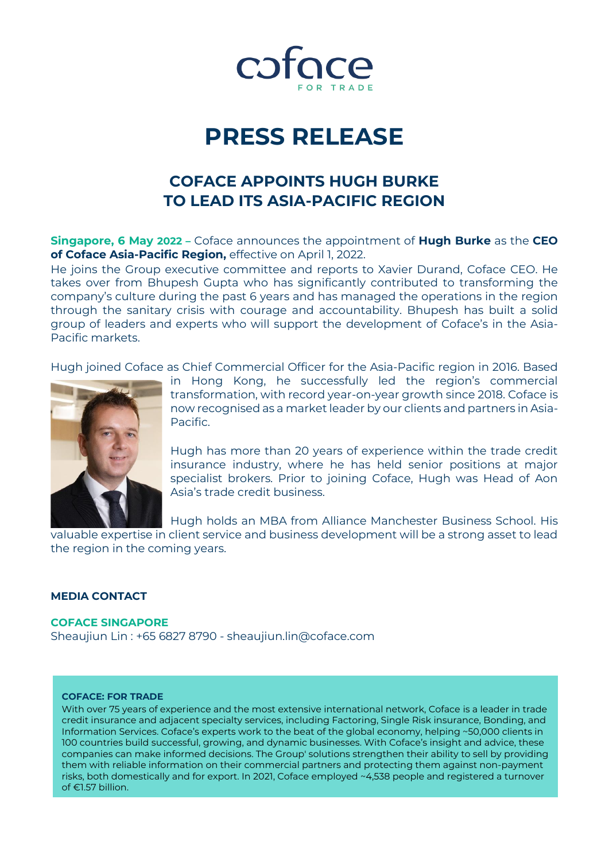

# **PRESS RELEASE**

### **COFACE APPOINTS HUGH BURKE TO LEAD ITS ASIA-PACIFIC REGION**

**Singapore, 6 May 2022 –** Coface announces the appointment of **Hugh Burke** as the **CEO of Coface Asia-Pacific Region,** effective on April 1, 2022.

He joins the Group executive committee and reports to Xavier Durand, Coface CEO. He takes over from Bhupesh Gupta who has significantly contributed to transforming the company's culture during the past 6 years and has managed the operations in the region through the sanitary crisis with courage and accountability. Bhupesh has built a solid group of leaders and experts who will support the development of Coface's in the Asia-Pacific markets.

Hugh joined Coface as Chief Commercial Officer for the Asia-Pacific region in 2016. Based



in Hong Kong, he successfully led the region's commercial transformation, with record year-on-year growth since 2018. Coface is now recognised as a market leader by our clients and partners in Asia-Pacific.

Hugh has more than 20 years of experience within the trade credit insurance industry, where he has held senior positions at major specialist brokers. Prior to joining Coface, Hugh was Head of Aon Asia's trade credit business.

Hugh holds an MBA from Alliance Manchester Business School. His

valuable expertise in client service and business development will be a strong asset to lead the region in the coming years.

#### **MEDIA CONTACT**

#### **COFACE SINGAPORE**

Sheaujiun Lin : +65 6827 8790 - [sheaujiun.lin@coface.com](mailto:sheaujiun.lin@coface.com)

#### **COFACE: FOR TRADE**

With over 75 years of experience and the most extensive international network, Coface is a leader in trade credit insurance and adjacent specialty services, including Factoring, Single Risk insurance, Bonding, and Information Services. Coface's experts work to the beat of the global economy, helping ~50,000 clients in 100 countries build successful, growing, and dynamic businesses. With Coface's insight and advice, these companies can make informed decisions. The Group' solutions strengthen their ability to sell by providing them with reliable information on their commercial partners and protecting them against non-payment risks, both domestically and for export. In 2021, Coface employed ~4,538 people and registered a turnover of €1.57 billion.